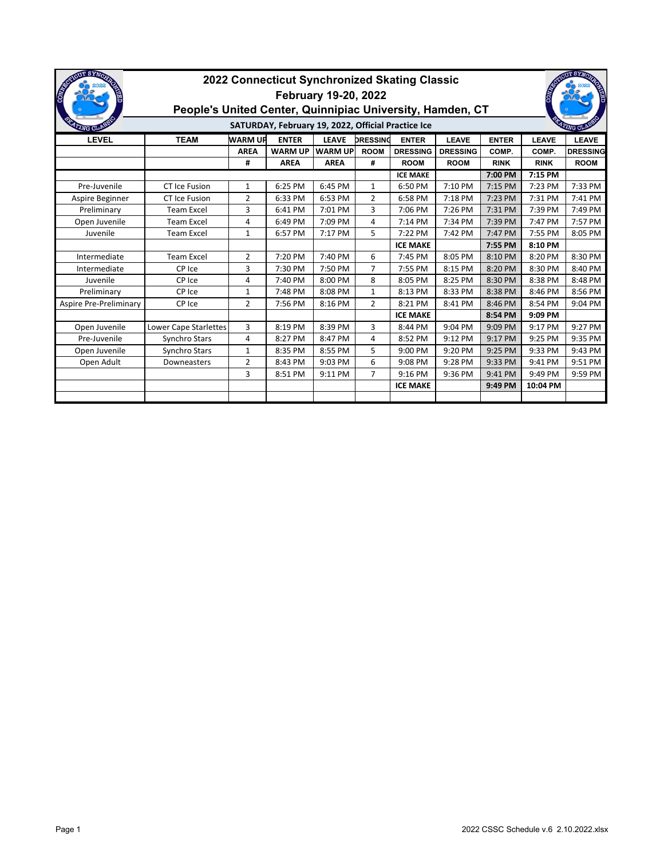| <b>UT SYNO</b><br><b>COMTA</b>                                                  | 2022 Connecticut Synchronized Skating Classic<br>February 19-20, 2022<br>People's United Center, Quinnipiac University, Hamden, CT |                |                |                |                 |                 |                 |              |              |                 |  |
|---------------------------------------------------------------------------------|------------------------------------------------------------------------------------------------------------------------------------|----------------|----------------|----------------|-----------------|-----------------|-----------------|--------------|--------------|-----------------|--|
| SATURDAY, February 19, 2022, Official Practice Ice<br>47TNG CI<br><b>ZNG CL</b> |                                                                                                                                    |                |                |                |                 |                 |                 |              |              |                 |  |
| <b>LEVEL</b>                                                                    | <b>TEAM</b>                                                                                                                        | <b>WARM UP</b> | <b>ENTER</b>   | <b>LEAVE</b>   | <b>DRESSING</b> | <b>ENTER</b>    | <b>LEAVE</b>    | <b>ENTER</b> | <b>LEAVE</b> | <b>LEAVE</b>    |  |
|                                                                                 |                                                                                                                                    | <b>AREA</b>    | <b>WARM UP</b> | <b>WARM UP</b> | <b>ROOM</b>     | <b>DRESSING</b> | <b>DRESSING</b> | COMP.        | COMP.        | <b>DRESSING</b> |  |
|                                                                                 |                                                                                                                                    | #              | <b>AREA</b>    | <b>AREA</b>    | #               | <b>ROOM</b>     | <b>ROOM</b>     | <b>RINK</b>  | <b>RINK</b>  | <b>ROOM</b>     |  |
|                                                                                 |                                                                                                                                    |                |                |                |                 | <b>ICE MAKE</b> |                 | 7:00 PM      | 7:15 PM      |                 |  |
| Pre-Juvenile                                                                    | CT Ice Fusion                                                                                                                      | $\mathbf{1}$   | 6:25 PM        | 6:45 PM        | $\mathbf{1}$    | 6:50 PM         | 7:10 PM         | 7:15 PM      | 7:23 PM      | 7:33 PM         |  |
| Aspire Beginner                                                                 | <b>CT Ice Fusion</b>                                                                                                               | $\overline{2}$ | 6:33 PM        | 6:53 PM        | $\overline{2}$  | 6:58 PM         | 7:18 PM         | 7:23 PM      | 7:31 PM      | 7:41 PM         |  |
| Preliminary                                                                     | <b>Team Excel</b>                                                                                                                  | 3              | 6:41 PM        | 7:01 PM        | 3               | 7:06 PM         | 7:26 PM         | 7:31 PM      | 7:39 PM      | 7:49 PM         |  |
| Open Juvenile                                                                   | <b>Team Excel</b>                                                                                                                  | 4              | 6:49 PM        | 7:09 PM        | 4               | 7:14 PM         | 7:34 PM         | 7:39 PM      | 7:47 PM      | 7:57 PM         |  |
| Juvenile                                                                        | <b>Team Excel</b>                                                                                                                  | $\mathbf{1}$   | 6:57 PM        | 7:17 PM        | 5               | 7:22 PM         | 7:42 PM         | 7:47 PM      | 7:55 PM      | 8:05 PM         |  |
|                                                                                 |                                                                                                                                    |                |                |                |                 | <b>ICE MAKE</b> |                 | 7:55 PM      | 8:10 PM      |                 |  |
| Intermediate                                                                    | <b>Team Excel</b>                                                                                                                  | $\overline{2}$ | 7:20 PM        | 7:40 PM        | 6               | 7:45 PM         | 8:05 PM         | 8:10 PM      | 8:20 PM      | 8:30 PM         |  |
| Intermediate                                                                    | CP Ice                                                                                                                             | 3              | 7:30 PM        | 7:50 PM        | $\overline{7}$  | 7:55 PM         | 8:15 PM         | 8:20 PM      | 8:30 PM      | 8:40 PM         |  |
| Juvenile                                                                        | CP Ice                                                                                                                             | 4              | 7:40 PM        | 8:00 PM        | 8               | 8:05 PM         | 8:25 PM         | 8:30 PM      | 8:38 PM      | 8:48 PM         |  |
| Preliminary                                                                     | CP Ice                                                                                                                             | $\mathbf{1}$   | 7:48 PM        | 8:08 PM        | $\mathbf{1}$    | 8:13 PM         | 8:33 PM         | 8:38 PM      | 8:46 PM      | 8:56 PM         |  |
| Aspire Pre-Preliminary                                                          | CP Ice                                                                                                                             | $\overline{2}$ | 7:56 PM        | 8:16 PM        | $\overline{2}$  | 8:21 PM         | 8:41 PM         | 8:46 PM      | 8:54 PM      | 9:04 PM         |  |
|                                                                                 |                                                                                                                                    |                |                |                |                 | <b>ICE MAKE</b> |                 | 8:54 PM      | 9:09 PM      |                 |  |
| Open Juvenile                                                                   | Lower Cape Starlettes                                                                                                              | 3              | 8:19 PM        | 8:39 PM        | 3               | 8:44 PM         | 9:04 PM         | 9:09 PM      | 9:17 PM      | 9:27 PM         |  |
| Pre-Juvenile                                                                    | Synchro Stars                                                                                                                      | 4              | 8:27 PM        | 8:47 PM        | 4               | 8:52 PM         | 9:12 PM         | 9:17 PM      | 9:25 PM      | 9:35 PM         |  |
| Open Juvenile                                                                   | Synchro Stars                                                                                                                      | $\mathbf{1}$   | 8:35 PM        | 8:55 PM        | 5               | 9:00 PM         | 9:20 PM         | 9:25 PM      | 9:33 PM      | 9:43 PM         |  |
| Open Adult                                                                      | Downeasters                                                                                                                        | 2              | 8:43 PM        | 9:03 PM        | 6               | 9:08 PM         | 9:28 PM         | 9:33 PM      | 9:41 PM      | 9:51 PM         |  |
|                                                                                 |                                                                                                                                    | 3              | 8:51 PM        | 9:11 PM        | $\overline{7}$  | 9:16 PM         | 9:36 PM         | 9:41 PM      | 9:49 PM      | 9:59 PM         |  |
|                                                                                 |                                                                                                                                    |                |                |                |                 | <b>ICE MAKE</b> |                 | 9:49 PM      | 10:04 PM     |                 |  |
|                                                                                 |                                                                                                                                    |                |                |                |                 |                 |                 |              |              |                 |  |